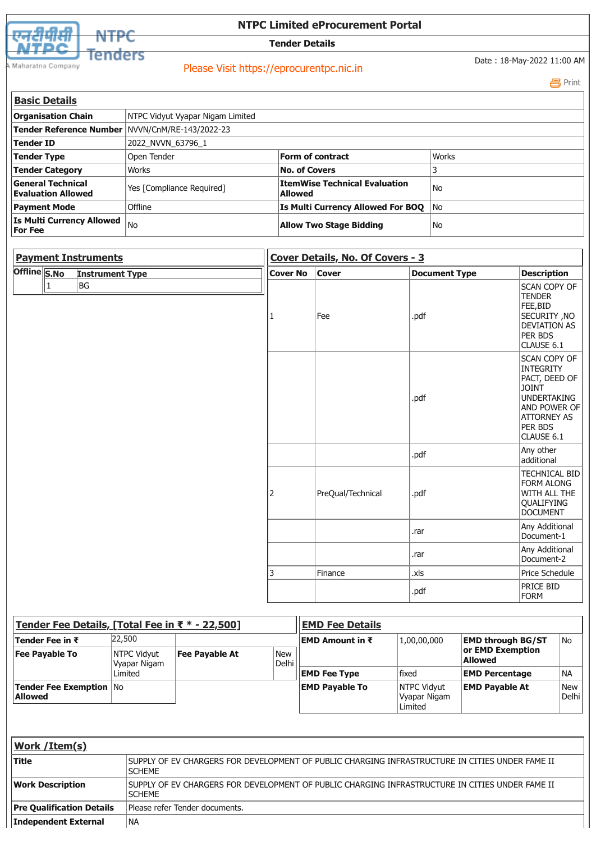



## **NTPC Limited eProcurement Portal**

**Tender Details**

Maharatna Company

## Please Visit https://eprocurentpc.nic.in

Date : 18-May-2022 11:00 AM

Print

| <b>Basic Details</b>                                               |                                  |                                                 |       |  |  |  |
|--------------------------------------------------------------------|----------------------------------|-------------------------------------------------|-------|--|--|--|
| <b>Organisation Chain</b>                                          | NTPC Vidyut Vyapar Nigam Limited |                                                 |       |  |  |  |
| Tender Reference Number   NVVN/CnM/RE-143/2022-23                  |                                  |                                                 |       |  |  |  |
| Tender ID                                                          | 2022_NVVN_63796_1                |                                                 |       |  |  |  |
| <b>Tender Type</b>                                                 | Open Tender                      | <b>Form of contract</b>                         | Works |  |  |  |
| <b>Tender Category</b>                                             | Works                            | <b>No. of Covers</b>                            |       |  |  |  |
| <b>General Technical</b><br><b>Evaluation Allowed</b>              | Yes [Compliance Required]        | <b>ItemWise Technical Evaluation</b><br>Allowed | l No  |  |  |  |
| <b>Payment Mode</b>                                                | <b>Offline</b>                   | Is Multi Currency Allowed For BOO               | l No  |  |  |  |
| <b>Is Multi Currency Allowed</b> $ _{\text{No}}$<br><b>For Fee</b> |                                  | <b>Allow Two Stage Bidding</b>                  | l No  |  |  |  |

| <b>Payment Instruments</b>             | Cover Details, No. Of Covers - 3 |                   |                      |                                                                                                                                                        |  |
|----------------------------------------|----------------------------------|-------------------|----------------------|--------------------------------------------------------------------------------------------------------------------------------------------------------|--|
| Offline S.No<br><b>Instrument Type</b> | <b>Cover No</b>                  | <b>Cover</b>      | <b>Document Type</b> | <b>Description</b>                                                                                                                                     |  |
| BG                                     |                                  | Fee               | .pdf                 | <b>SCAN COPY OF</b><br><b>TENDER</b><br>FEE,BID<br>SECURITY, NO<br><b>DEVIATION AS</b><br>PER BDS<br>CLAUSE 6.1                                        |  |
|                                        |                                  |                   | .pdf                 | <b>SCAN COPY OF</b><br><b>INTEGRITY</b><br>PACT, DEED OF<br><b>JOINT</b><br>UNDERTAKING<br>AND POWER OF<br><b>ATTORNEY AS</b><br>PER BDS<br>CLAUSE 6.1 |  |
|                                        |                                  |                   | .pdf                 | Any other<br>additional                                                                                                                                |  |
|                                        | 2                                | PreQual/Technical | .pdf                 | <b>TECHNICAL BID</b><br>FORM ALONG<br>WITH ALL THE<br>QUALIFYING<br><b>DOCUMENT</b>                                                                    |  |
|                                        |                                  |                   | .rar                 | Any Additional<br>Document-1                                                                                                                           |  |
|                                        |                                  |                   | .rar                 | Any Additional<br>Document-2                                                                                                                           |  |
|                                        | 3                                | Finance           | .xls                 | Price Schedule                                                                                                                                         |  |
|                                        |                                  |                   | .pdf                 | PRICE BID<br><b>FORM</b>                                                                                                                               |  |

| Tender Fee Details, [Total Fee in $\bar{x}$ * - 22,500] |                             |                |                     | <b>EMD Fee Details</b> |                                                |                                    |                      |
|---------------------------------------------------------|-----------------------------|----------------|---------------------|------------------------|------------------------------------------------|------------------------------------|----------------------|
| Tender Fee in ₹                                         | 22,500                      |                |                     | EMD Amount in ₹        | 1,00,00,000                                    | <b>EMD through BG/ST</b>           | No                   |
| <b>Fee Payable To</b>                                   | NTPC Vidyut<br>Vyapar Nigam | Fee Payable At | <b>New</b><br>Delhi |                        |                                                | or EMD Exemption<br><b>Allowed</b> |                      |
|                                                         | Limited                     |                |                     | <b>EMD Fee Type</b>    | <b>fixed</b>                                   | <b>EMD Percentage</b>              | <b>INA</b>           |
| Tender Fee Exemption   No<br><b>Allowed</b>             |                             |                |                     | <b>EMD Payable To</b>  | <b>INTPC Vidvut</b><br>Vyapar Nigam<br>Limited | <b>EMD Pavable At</b>              | <b>New</b><br> Delhi |

| <b>Work / Item(s)</b>            |                                                                                                                    |
|----------------------------------|--------------------------------------------------------------------------------------------------------------------|
| <b>Title</b>                     | ISUPPLY OF EV CHARGERS FOR DEVELOPMENT OF PUBLIC CHARGING INFRASTRUCTURE IN CITIES UNDER FAME II<br><b>ISCHEME</b> |
| <b>Work Description</b>          | ISUPPLY OF EV CHARGERS FOR DEVELOPMENT OF PUBLIC CHARGING INFRASTRUCTURE IN CITIES UNDER FAME II<br><b>ISCHEME</b> |
| <b>Pre Qualification Details</b> | Please refer Tender documents.                                                                                     |
| Independent External             | NA                                                                                                                 |